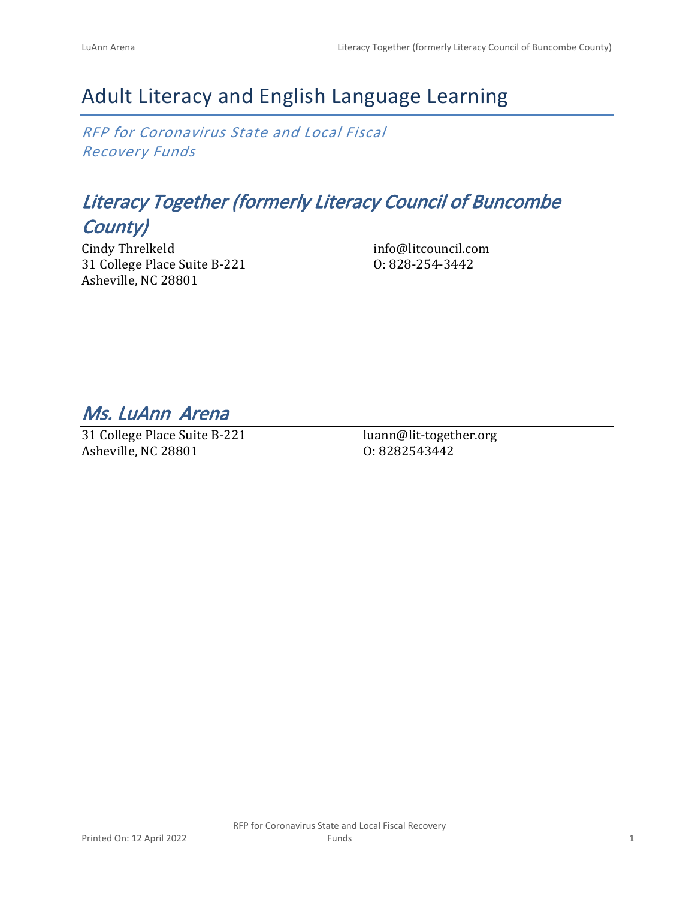# Adult Literacy and English Language Learning

*RFP for Coronavirus State and Local Fiscal Recovery Funds*

## *Literacy Together (formerly Literacy Council of Buncombe County)*

Cindy Threlkeld 31 College Place Suite B-221 Asheville, NC 28801

info@litcouncil.com O: 828-254-3442

*Ms. LuAnn Arena* 

31 College Place Suite B-221 Asheville, NC 28801

luann@lit-together.org O: 8282543442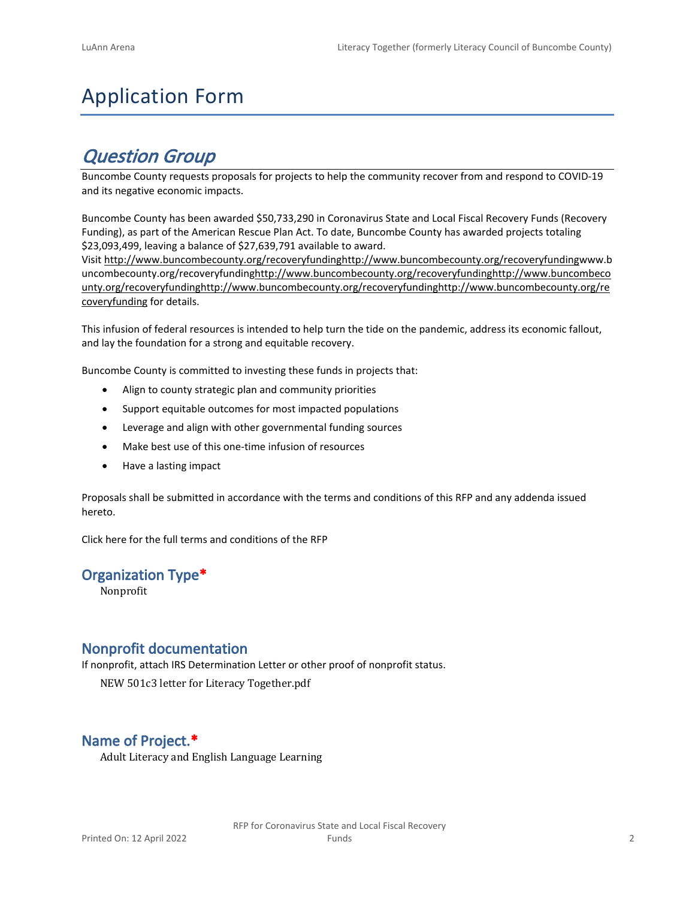# Application Form

## *Question Group*

Buncombe County requests proposals for projects to help the community recover from and respond to COVID-19 and its negative economic impacts.

Buncombe County has been awarded \$50,733,290 in Coronavirus State and Local Fiscal Recovery Funds (Recovery Funding), as part of the American Rescue Plan Act. To date, Buncombe County has awarded projects totaling \$23,093,499, leaving a balance of \$27,639,791 available to award.

Visit [http://www.buncombecounty.org/recoveryfundinghttp://www.buncombecounty.org/recoveryfundingwww.b](http://www.buncombecounty.org/recoveryfunding) [uncombecounty.org/recoveryfundinghttp://www.buncombecounty.org/recoveryfundinghttp://www.buncombeco](http://www.buncombecounty.org/recoveryfunding) [unty.org/recoveryfundinghttp://www.buncombecounty.org/recoveryfundinghttp://www.buncombecounty.org/re](http://www.buncombecounty.org/recoveryfunding) [coveryfunding](http://www.buncombecounty.org/recoveryfunding) for details.

This infusion of federal resources is intended to help turn the tide on the pandemic, address its economic fallout, and lay the foundation for a strong and equitable recovery.

Buncombe County is committed to investing these funds in projects that:

- Align to county strategic plan and community priorities
- Support equitable outcomes for most impacted populations
- Leverage and align with other governmental funding sources
- Make best use of this one-time infusion of resources
- Have a lasting impact

Proposals shall be submitted in accordance with the terms and conditions of this RFP and any addenda issued hereto.

Click [here](https://www.buncombecounty.org/common/purchasing/Buncombe%20Recovery%20Funding%20RFP%202022.pdf) for the full terms and conditions of the RFP

## **Organization Type\***

Nonprofit

## **Nonprofit documentation**

If nonprofit, attach IRS Determination Letter or other proof of nonprofit status.

NEW 501c3 letter for Literacy Together.pdf

## **Name of Project.\***

Adult Literacy and English Language Learning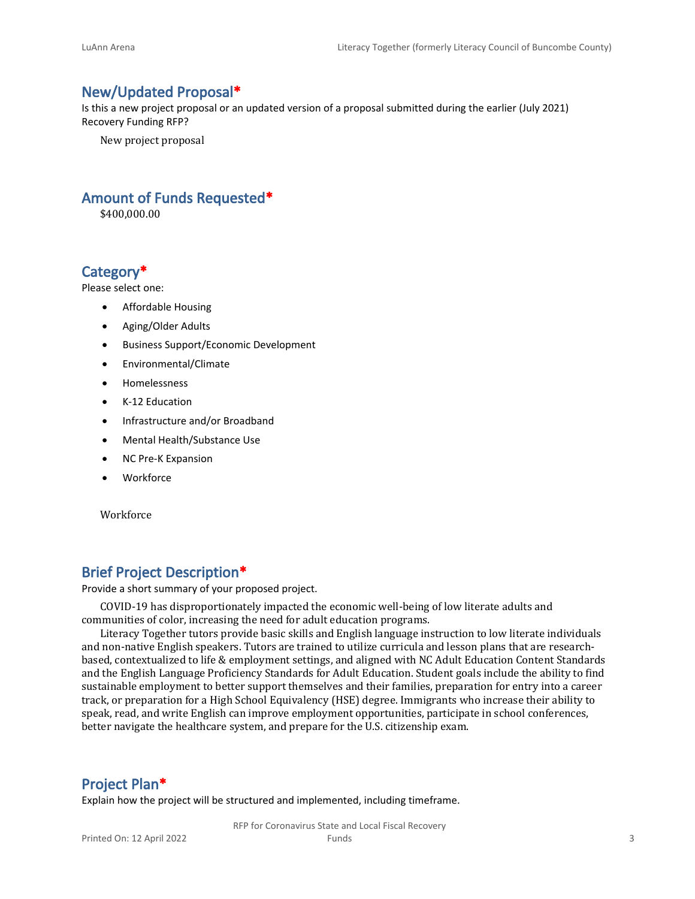### **New/Updated Proposal\***

Is this a new project proposal or an updated version of a proposal submitted during the earlier (July 2021) Recovery Funding RFP?

New project proposal

## **Amount of Funds Requested\***

\$400,000.00

## **Category\***

Please select one:

- Affordable Housing
- Aging/Older Adults
- Business Support/Economic Development
- Environmental/Climate
- Homelessness
- K-12 Education
- Infrastructure and/or Broadband
- Mental Health/Substance Use
- NC Pre-K Expansion
- Workforce

Workforce

## **Brief Project Description\***

Provide a short summary of your proposed project.

COVID-19 has disproportionately impacted the economic well-being of low literate adults and communities of color, increasing the need for adult education programs.

Literacy Together tutors provide basic skills and English language instruction to low literate individuals and non-native English speakers. Tutors are trained to utilize curricula and lesson plans that are researchbased, contextualized to life & employment settings, and aligned with NC Adult Education Content Standards and the English Language Proficiency Standards for Adult Education. Student goals include the ability to find sustainable employment to better support themselves and their families, preparation for entry into a career track, or preparation for a High School Equivalency (HSE) degree. Immigrants who increase their ability to speak, read, and write English can improve employment opportunities, participate in school conferences, better navigate the healthcare system, and prepare for the U.S. citizenship exam.

#### **Project Plan\***

Explain how the project will be structured and implemented, including timeframe.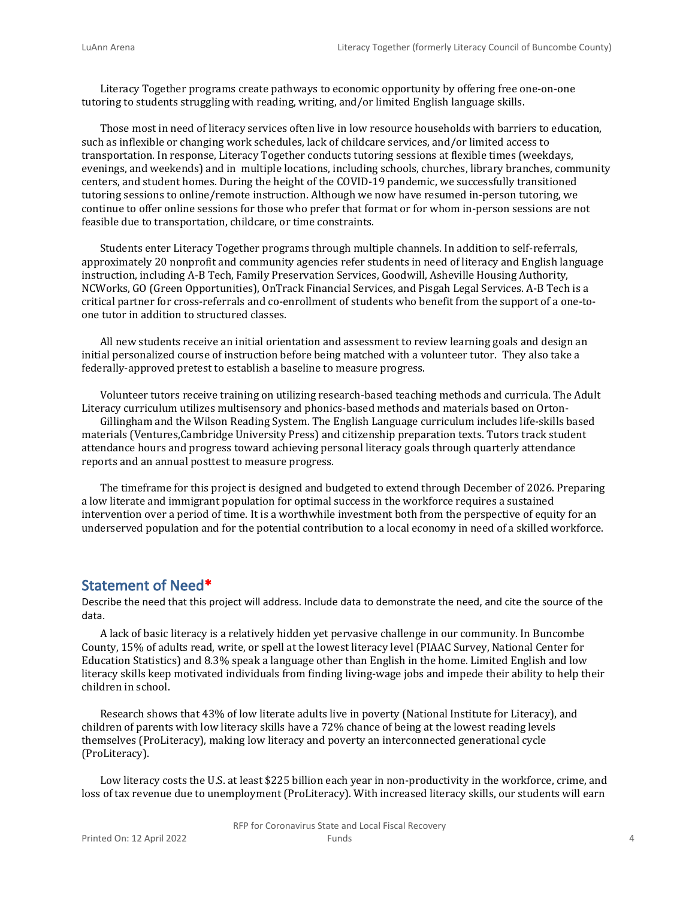Literacy Together programs create pathways to economic opportunity by offering free one-on-one tutoring to students struggling with reading, writing, and/or limited English language skills.

Those most in need of literacy services often live in low resource households with barriers to education, such as inflexible or changing work schedules, lack of childcare services, and/or limited access to transportation. In response, Literacy Together conducts tutoring sessions at flexible times (weekdays, evenings, and weekends) and in multiple locations, including schools, churches, library branches, community centers, and student homes. During the height of the COVID-19 pandemic, we successfully transitioned tutoring sessions to online/remote instruction. Although we now have resumed in-person tutoring, we continue to offer online sessions for those who prefer that format or for whom in-person sessions are not feasible due to transportation, childcare, or time constraints.

Students enter Literacy Together programs through multiple channels. In addition to self-referrals, approximately 20 nonprofit and community agencies refer students in need of literacy and English language instruction, including A-B Tech, Family Preservation Services, Goodwill, Asheville Housing Authority, NCWorks, GO (Green Opportunities), OnTrack Financial Services, and Pisgah Legal Services. A-B Tech is a critical partner for cross-referrals and co-enrollment of students who benefit from the support of a one-toone tutor in addition to structured classes.

All new students receive an initial orientation and assessment to review learning goals and design an initial personalized course of instruction before being matched with a volunteer tutor. They also take a federally-approved pretest to establish a baseline to measure progress.

Volunteer tutors receive training on utilizing research-based teaching methods and curricula. The Adult Literacy curriculum utilizes multisensory and phonics-based methods and materials based on Orton-

Gillingham and the Wilson Reading System. The English Language curriculum includes life-skills based materials (Ventures,Cambridge University Press) and citizenship preparation texts. Tutors track student attendance hours and progress toward achieving personal literacy goals through quarterly attendance reports and an annual posttest to measure progress.

The timeframe for this project is designed and budgeted to extend through December of 2026. Preparing a low literate and immigrant population for optimal success in the workforce requires a sustained intervention over a period of time. It is a worthwhile investment both from the perspective of equity for an underserved population and for the potential contribution to a local economy in need of a skilled workforce.

#### **Statement of Need\***

Describe the need that this project will address. Include data to demonstrate the need, and cite the source of the data.

A lack of basic literacy is a relatively hidden yet pervasive challenge in our community. In Buncombe County, 15% of adults read, write, or spell at the lowest literacy level (PIAAC Survey, National Center for Education Statistics) and 8.3% speak a language other than English in the home. Limited English and low literacy skills keep motivated individuals from finding living-wage jobs and impede their ability to help their children in school.

Research shows that 43% of low literate adults live in poverty (National Institute for Literacy), and children of parents with low literacy skills have a 72% chance of being at the lowest reading levels themselves (ProLiteracy), making low literacy and poverty an interconnected generational cycle (ProLiteracy).

Low literacy costs the U.S. at least \$225 billion each year in non-productivity in the workforce, crime, and loss of tax revenue due to unemployment (ProLiteracy). With increased literacy skills, our students will earn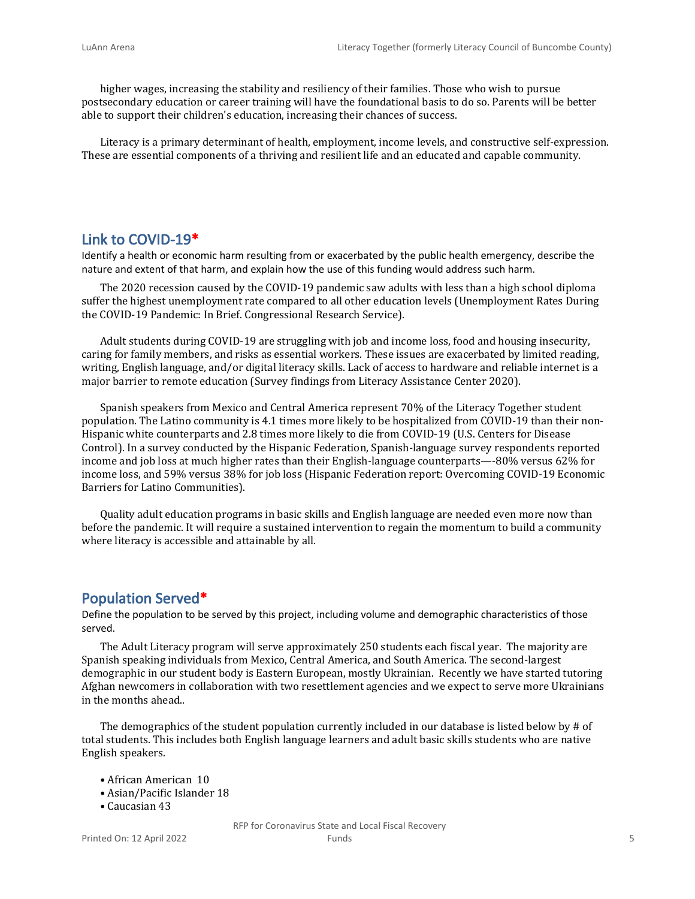higher wages, increasing the stability and resiliency of their families. Those who wish to pursue postsecondary education or career training will have the foundational basis to do so. Parents will be better able to support their children's education, increasing their chances of success.

Literacy is a primary determinant of health, employment, income levels, and constructive self-expression. These are essential components of a thriving and resilient life and an educated and capable community.

#### **Link to COVID-19\***

Identify a health or economic harm resulting from or exacerbated by the public health emergency, describe the nature and extent of that harm, and explain how the use of this funding would address such harm.

The 2020 recession caused by the COVID-19 pandemic saw adults with less than a high school diploma suffer the highest unemployment rate compared to all other education levels (Unemployment Rates During the COVID-19 Pandemic: In Brief. Congressional Research Service).

Adult students during COVID-19 are struggling with job and income loss, food and housing insecurity, caring for family members, and risks as essential workers. These issues are exacerbated by limited reading, writing, English language, and/or digital literacy skills. Lack of access to hardware and reliable internet is a major barrier to remote education (Survey findings from Literacy Assistance Center 2020).

Spanish speakers from Mexico and Central America represent 70% of the Literacy Together student population. The Latino community is 4.1 times more likely to be hospitalized from COVID-19 than their non-Hispanic white counterparts and 2.8 times more likely to die from COVID-19 (U.S. Centers for Disease Control). In a survey conducted by the Hispanic Federation, Spanish-language survey respondents reported income and job loss at much higher rates than their English-language counterparts—-80% versus 62% for income loss, and 59% versus 38% for job loss (Hispanic Federation report: Overcoming COVID-19 Economic Barriers for Latino Communities).

Quality adult education programs in basic skills and English language are needed even more now than before the pandemic. It will require a sustained intervention to regain the momentum to build a community where literacy is accessible and attainable by all.

#### **Population Served\***

Define the population to be served by this project, including volume and demographic characteristics of those served.

The Adult Literacy program will serve approximately 250 students each fiscal year. The majority are Spanish speaking individuals from Mexico, Central America, and South America. The second-largest demographic in our student body is Eastern European, mostly Ukrainian. Recently we have started tutoring Afghan newcomers in collaboration with two resettlement agencies and we expect to serve more Ukrainians in the months ahead..

The demographics of the student population currently included in our database is listed below by # of total students. This includes both English language learners and adult basic skills students who are native English speakers.

- African American 10
- Asian/Pacific Islander 18
- Caucasian 43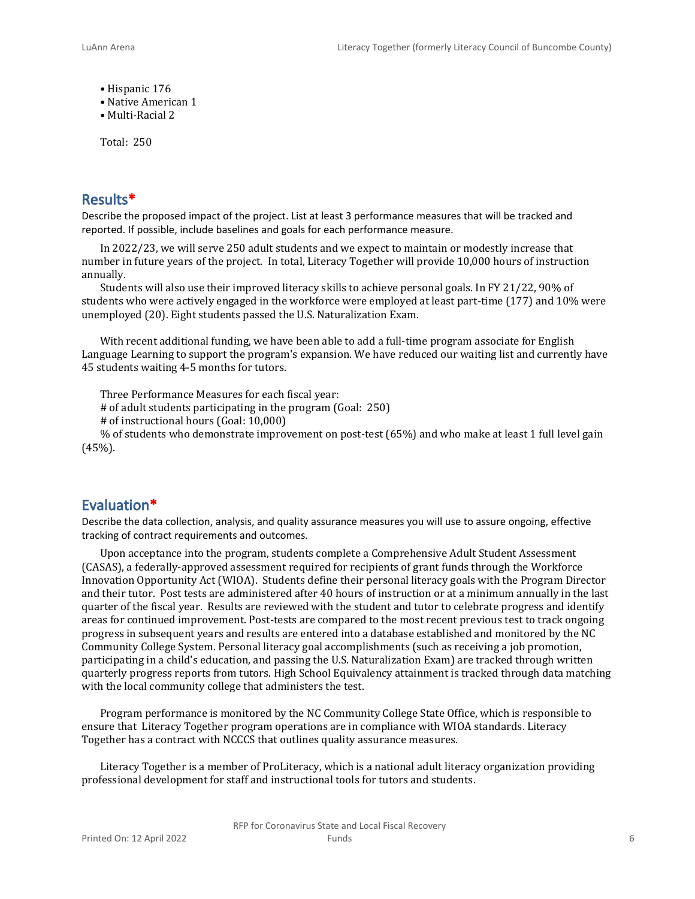- Hispanic 176
- Native American 1
- Multi-Racial 2

Total: 250

### **Results\***

Describe the proposed impact of the project. List at least 3 performance measures that will be tracked and reported. If possible, include baselines and goals for each performance measure.

In 2022/23, we will serve 250 adult students and we expect to maintain or modestly increase that number in future years of the project. In total, Literacy Together will provide 10,000 hours of instruction annually.

Students will also use their improved literacy skills to achieve personal goals. In FY 21/22, 90% of students who were actively engaged in the workforce were employed at least part-time (177) and 10% were unemployed (20). Eight students passed the U.S. Naturalization Exam.

With recent additional funding, we have been able to add a full-time program associate for English Language Learning to support the program's expansion. We have reduced our waiting list and currently have 45 students waiting 4-5 months for tutors.

Three Performance Measures for each fiscal year:

# of adult students participating in the program (Goal: 250)

# of instructional hours (Goal: 10,000)

% of students who demonstrate improvement on post-test (65%) and who make at least 1 full level gain (45%).

#### **Evaluation\***

Describe the data collection, analysis, and quality assurance measures you will use to assure ongoing, effective tracking of contract requirements and outcomes.

Upon acceptance into the program, students complete a Comprehensive Adult Student Assessment (CASAS), a federally-approved assessment required for recipients of grant funds through the Workforce Innovation Opportunity Act (WIOA). Students define their personal literacy goals with the Program Director and their tutor. Post tests are administered after 40 hours of instruction or at a minimum annually in the last quarter of the fiscal year. Results are reviewed with the student and tutor to celebrate progress and identify areas for continued improvement. Post-tests are compared to the most recent previous test to track ongoing progress in subsequent years and results are entered into a database established and monitored by the NC Community College System. Personal literacy goal accomplishments (such as receiving a job promotion, participating in a child's education, and passing the U.S. Naturalization Exam) are tracked through written quarterly progress reports from tutors. High School Equivalency attainment is tracked through data matching with the local community college that administers the test.

Program performance is monitored by the NC Community College State Office, which is responsible to ensure that Literacy Together program operations are in compliance with WIOA standards. Literacy Together has a contract with NCCCS that outlines quality assurance measures.

Literacy Together is a member of ProLiteracy, which is a national adult literacy organization providing professional development for staff and instructional tools for tutors and students.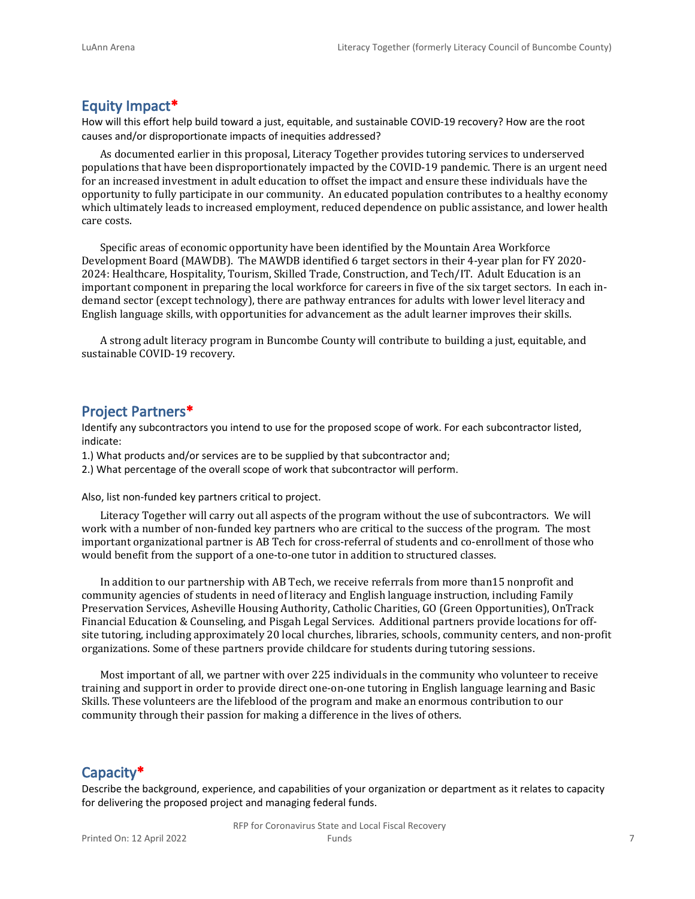## **Equity Impact\***

How will this effort help build toward a just, equitable, and sustainable COVID-19 recovery? How are the root causes and/or disproportionate impacts of inequities addressed?

As documented earlier in this proposal, Literacy Together provides tutoring services to underserved populations that have been disproportionately impacted by the COVID-19 pandemic. There is an urgent need for an increased investment in adult education to offset the impact and ensure these individuals have the opportunity to fully participate in our community. An educated population contributes to a healthy economy which ultimately leads to increased employment, reduced dependence on public assistance, and lower health care costs.

Specific areas of economic opportunity have been identified by the Mountain Area Workforce Development Board (MAWDB). The MAWDB identified 6 target sectors in their 4-year plan for FY 2020- 2024: Healthcare, Hospitality, Tourism, Skilled Trade, Construction, and Tech/IT. Adult Education is an important component in preparing the local workforce for careers in five of the six target sectors. In each indemand sector (except technology), there are pathway entrances for adults with lower level literacy and English language skills, with opportunities for advancement as the adult learner improves their skills.

A strong adult literacy program in Buncombe County will contribute to building a just, equitable, and sustainable COVID-19 recovery.

#### **Project Partners\***

Identify any subcontractors you intend to use for the proposed scope of work. For each subcontractor listed, indicate:

- 1.) What products and/or services are to be supplied by that subcontractor and;
- 2.) What percentage of the overall scope of work that subcontractor will perform.

Also, list non-funded key partners critical to project.

Literacy Together will carry out all aspects of the program without the use of subcontractors. We will work with a number of non-funded key partners who are critical to the success of the program. The most important organizational partner is AB Tech for cross-referral of students and co-enrollment of those who would benefit from the support of a one-to-one tutor in addition to structured classes.

In addition to our partnership with AB Tech, we receive referrals from more than15 nonprofit and community agencies of students in need of literacy and English language instruction, including Family Preservation Services, Asheville Housing Authority, Catholic Charities, GO (Green Opportunities), OnTrack Financial Education & Counseling, and Pisgah Legal Services. Additional partners provide locations for offsite tutoring, including approximately 20 local churches, libraries, schools, community centers, and non-profit organizations. Some of these partners provide childcare for students during tutoring sessions.

Most important of all, we partner with over 225 individuals in the community who volunteer to receive training and support in order to provide direct one-on-one tutoring in English language learning and Basic Skills. These volunteers are the lifeblood of the program and make an enormous contribution to our community through their passion for making a difference in the lives of others.

## **Capacity\***

Describe the background, experience, and capabilities of your organization or department as it relates to capacity for delivering the proposed project and managing federal funds.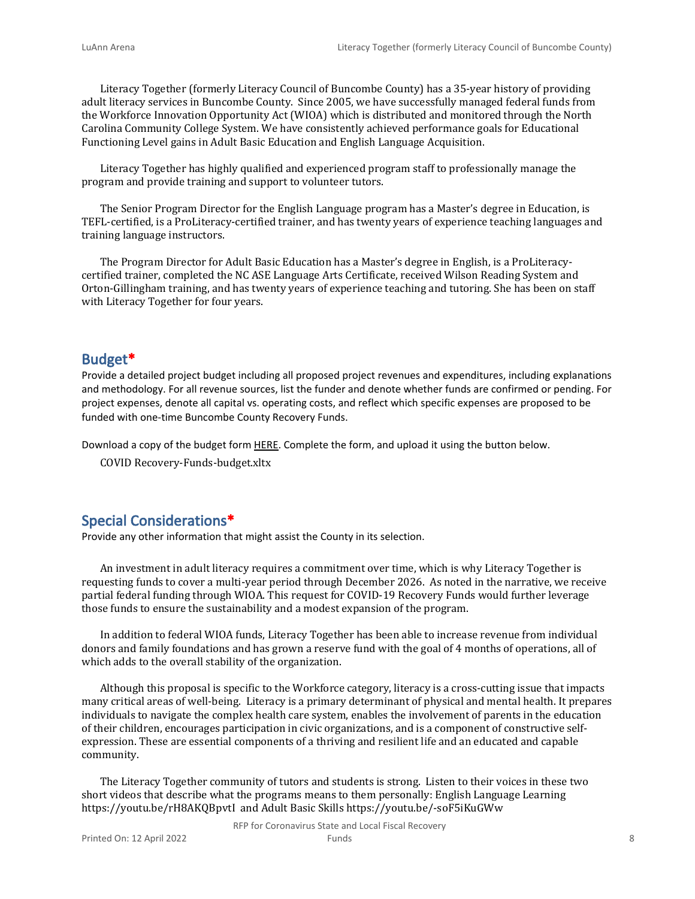Literacy Together (formerly Literacy Council of Buncombe County) has a 35-year history of providing adult literacy services in Buncombe County. Since 2005, we have successfully managed federal funds from the Workforce Innovation Opportunity Act (WIOA) which is distributed and monitored through the North Carolina Community College System. We have consistently achieved performance goals for Educational Functioning Level gains in Adult Basic Education and English Language Acquisition.

Literacy Together has highly qualified and experienced program staff to professionally manage the program and provide training and support to volunteer tutors.

The Senior Program Director for the English Language program has a Master's degree in Education, is TEFL-certified, is a ProLiteracy-certified trainer, and has twenty years of experience teaching languages and training language instructors.

The Program Director for Adult Basic Education has a Master's degree in English, is a ProLiteracycertified trainer, completed the NC ASE Language Arts Certificate, received Wilson Reading System and Orton-Gillingham training, and has twenty years of experience teaching and tutoring. She has been on staff with Literacy Together for four years.

#### **Budget\***

Provide a detailed project budget including all proposed project revenues and expenditures, including explanations and methodology. For all revenue sources, list the funder and denote whether funds are confirmed or pending. For project expenses, denote all capital vs. operating costs, and reflect which specific expenses are proposed to be funded with one-time Buncombe County Recovery Funds.

Download a copy of the budget form [HERE](https://buncombecounty.org/common/community-investment/grants/early-childhood-education/Recovery-Funds-budget-template.xlsx). Complete the form, and upload it using the button below.

COVID Recovery-Funds-budget.xltx

## **Special Considerations\***

Provide any other information that might assist the County in its selection.

An investment in adult literacy requires a commitment over time, which is why Literacy Together is requesting funds to cover a multi-year period through December 2026. As noted in the narrative, we receive partial federal funding through WIOA. This request for COVID-19 Recovery Funds would further leverage those funds to ensure the sustainability and a modest expansion of the program.

In addition to federal WIOA funds, Literacy Together has been able to increase revenue from individual donors and family foundations and has grown a reserve fund with the goal of 4 months of operations, all of which adds to the overall stability of the organization.

Although this proposal is specific to the Workforce category, literacy is a cross-cutting issue that impacts many critical areas of well-being. Literacy is a primary determinant of physical and mental health. It prepares individuals to navigate the complex health care system, enables the involvement of parents in the education of their children, encourages participation in civic organizations, and is a component of constructive selfexpression. These are essential components of a thriving and resilient life and an educated and capable community.

The Literacy Together community of tutors and students is strong. Listen to their voices in these two short videos that describe what the programs means to them personally: English Language Learning https://youtu.be/rH8AKQBpvtI and Adult Basic Skills https://youtu.be/-soF5iKuGWw

RFP for Coronavirus State and Local Fiscal Recovery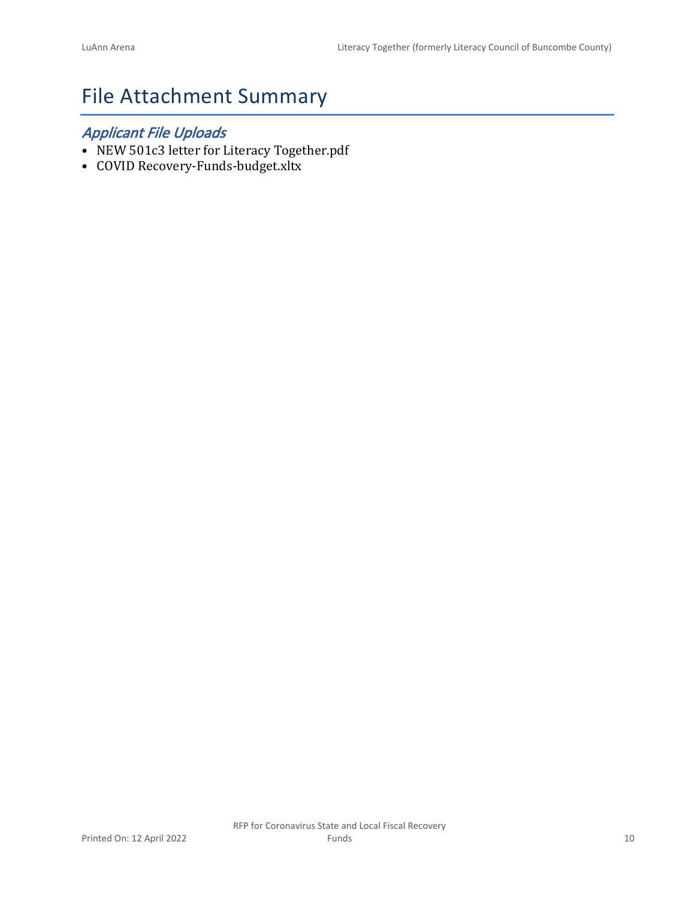# File Attachment Summary

## *Applicant File Uploads*

- NEW 501c3 letter for Literacy Together.pdf
- COVID Recovery-Funds-budget.xltx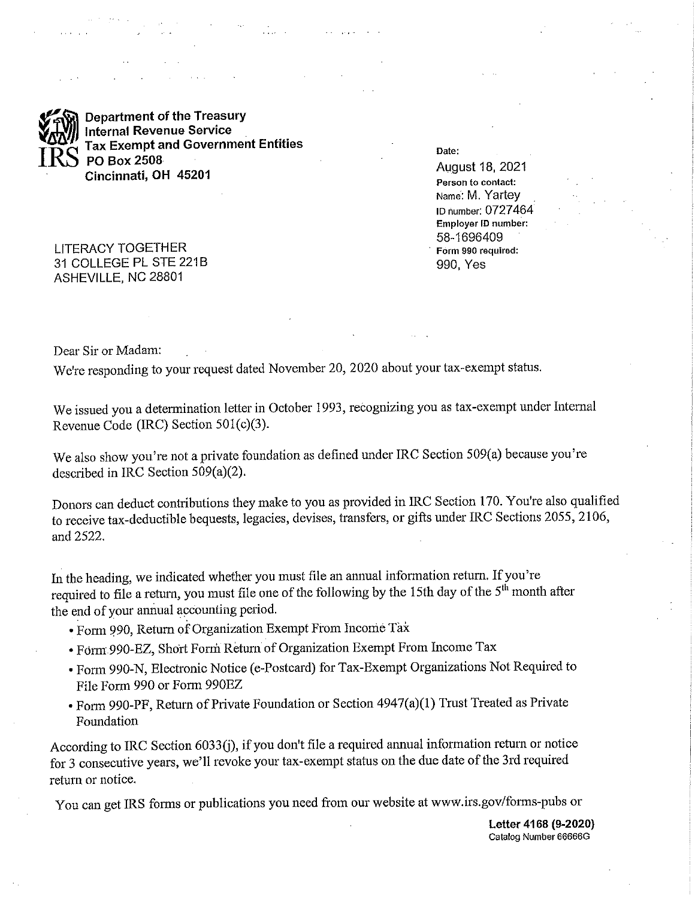**Department of the Treasury Internal Revenue Service Tax Exempt and Government Entities** PO Box 2508 Cincinnati, OH 45201

**LITERACY TOGETHER** 31 COLLEGE PL STE 221B ASHEVILLE, NC 28801

Date:

**August 18, 2021** Person to contact: Name: M. Yartey ID number: 0727464 Employer ID number: 58-1696409 Form 990 required: 990, Yes

Dear Sir or Madam:

We're responding to your request dated November 20, 2020 about your tax-exempt status.

We issued you a determination letter in October 1993, recognizing you as tax-exempt under Internal Revenue Code (IRC) Section  $501(c)(3)$ .

We also show you're not a private foundation as defined under IRC Section 509(a) because you're described in IRC Section 509(a)(2).

Donors can deduct contributions they make to you as provided in IRC Section 170. You're also qualified to receive tax-deductible bequests, legacies, devises, transfers, or gifts under IRC Sections 2055, 2106, and 2522.

In the heading, we indicated whether you must file an annual information return. If you're required to file a return, you must file one of the following by the 15th day of the 5<sup>th</sup> month after the end of your annual accounting period.

- Form 990, Return of Organization Exempt From Income Tax
- Form 990-EZ, Short Form Return of Organization Exempt From Income Tax
- Form 990-N, Electronic Notice (e-Postcard) for Tax-Exempt Organizations Not Required to File Form 990 or Form 990EZ
- Form 990-PF, Return of Private Foundation or Section 4947(a)(1) Trust Treated as Private Foundation

According to IRC Section 6033(j), if you don't file a required annual information return or notice for 3 consecutive years, we'll revoke your tax-exempt status on the due date of the 3rd required return or notice.

You can get IRS forms or publications you need from our website at www.irs.gov/forms-pubs or

Letter 4168 (9-2020) Catalog Number 66666G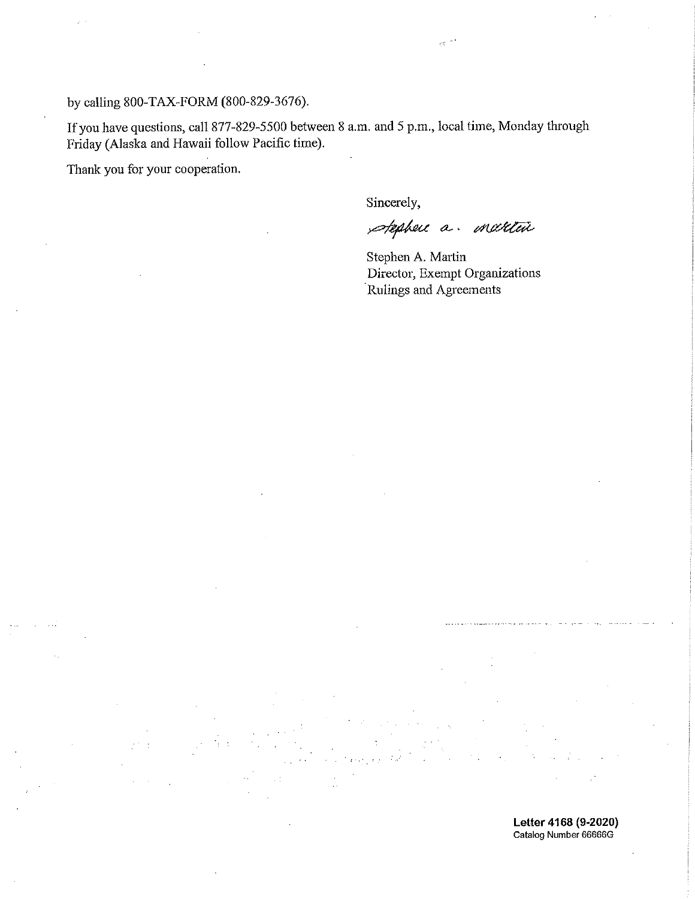by calling 800-TAX-FORM (800-829-3676).

If you have questions, call 877-829-5500 between 8 a.m. and 5 p.m., local time, Monday through Friday (Alaska and Hawaii follow Pacific time).

Thank you for your cooperation.

Sincerely,

spephere a maretin

Stephen A. Martin Director, Exempt Organizations Rulings and Agreements

Letter 4168 (9-2020) Catalog Number 66666G